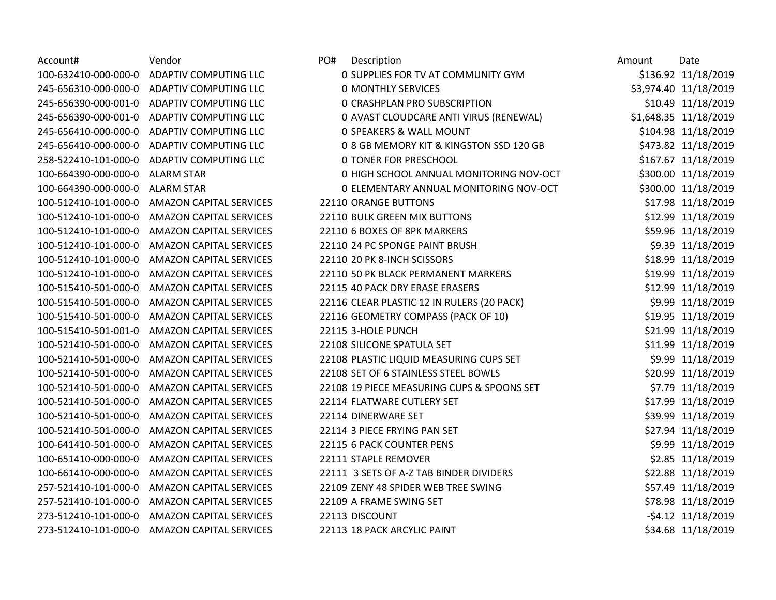| Vendor                         | PO#<br>D                                                                                                                                                                                                                                                                     |
|--------------------------------|------------------------------------------------------------------------------------------------------------------------------------------------------------------------------------------------------------------------------------------------------------------------------|
| <b>ADAPTIV COMPUTING LLC</b>   | 0 <sub>S</sub>                                                                                                                                                                                                                                                               |
| <b>ADAPTIV COMPUTING LLC</b>   | 0 <sub>0</sub>                                                                                                                                                                                                                                                               |
| <b>ADAPTIV COMPUTING LLC</b>   | 0 <sub>c</sub>                                                                                                                                                                                                                                                               |
| <b>ADAPTIV COMPUTING LLC</b>   | 0A                                                                                                                                                                                                                                                                           |
| <b>ADAPTIV COMPUTING LLC</b>   | 0 <sub>5</sub>                                                                                                                                                                                                                                                               |
| <b>ADAPTIV COMPUTING LLC</b>   | 08                                                                                                                                                                                                                                                                           |
| <b>ADAPTIV COMPUTING LLC</b>   | 0 <sub>T</sub>                                                                                                                                                                                                                                                               |
| <b>ALARM STAR</b>              | 0 <sub>h</sub>                                                                                                                                                                                                                                                               |
| <b>ALARM STAR</b>              | 0E                                                                                                                                                                                                                                                                           |
| <b>AMAZON CAPITAL SERVICES</b> | 22110 C                                                                                                                                                                                                                                                                      |
| <b>AMAZON CAPITAL SERVICES</b> | 22110 B                                                                                                                                                                                                                                                                      |
| <b>AMAZON CAPITAL SERVICES</b> | 22110 6                                                                                                                                                                                                                                                                      |
| <b>AMAZON CAPITAL SERVICES</b> | 22110 2                                                                                                                                                                                                                                                                      |
| <b>AMAZON CAPITAL SERVICES</b> | 22110 2                                                                                                                                                                                                                                                                      |
| <b>AMAZON CAPITAL SERVICES</b> | 22110 5                                                                                                                                                                                                                                                                      |
| <b>AMAZON CAPITAL SERVICES</b> | 22115 4                                                                                                                                                                                                                                                                      |
| <b>AMAZON CAPITAL SERVICES</b> | 22116 C                                                                                                                                                                                                                                                                      |
| <b>AMAZON CAPITAL SERVICES</b> | 22116 G                                                                                                                                                                                                                                                                      |
| <b>AMAZON CAPITAL SERVICES</b> | 22115 3                                                                                                                                                                                                                                                                      |
| <b>AMAZON CAPITAL SERVICES</b> | 22108 S                                                                                                                                                                                                                                                                      |
| <b>AMAZON CAPITAL SERVICES</b> | 22108 P                                                                                                                                                                                                                                                                      |
| <b>AMAZON CAPITAL SERVICES</b> | 22108 S                                                                                                                                                                                                                                                                      |
| <b>AMAZON CAPITAL SERVICES</b> | 22108 1                                                                                                                                                                                                                                                                      |
| <b>AMAZON CAPITAL SERVICES</b> | 22114 F                                                                                                                                                                                                                                                                      |
|                                | 22114 D                                                                                                                                                                                                                                                                      |
| <b>AMAZON CAPITAL SERVICES</b> | 22114 3                                                                                                                                                                                                                                                                      |
|                                | 22115 6                                                                                                                                                                                                                                                                      |
|                                | 22111 S                                                                                                                                                                                                                                                                      |
|                                | 22111 3                                                                                                                                                                                                                                                                      |
|                                | 22109 Z                                                                                                                                                                                                                                                                      |
|                                | 22109 A                                                                                                                                                                                                                                                                      |
|                                | 22113 D                                                                                                                                                                                                                                                                      |
|                                | 22113 1                                                                                                                                                                                                                                                                      |
|                                | <b>AMAZON CAPITAL SERVICES</b><br><b>AMAZON CAPITAL SERVICES</b><br><b>AMAZON CAPITAL SERVICES</b><br><b>AMAZON CAPITAL SERVICES</b><br><b>AMAZON CAPITAL SERVICES</b><br><b>AMAZON CAPITAL SERVICES</b><br><b>AMAZON CAPITAL SERVICES</b><br><b>AMAZON CAPITAL SERVICES</b> |

| Account#             | Vendor                                     | PO# | Description                                | Amount | Date                  |
|----------------------|--------------------------------------------|-----|--------------------------------------------|--------|-----------------------|
|                      | 100-632410-000-000-0 ADAPTIV COMPUTING LLC |     | 0 SUPPLIES FOR TV AT COMMUNITY GYM         |        | \$136.92 11/18/2019   |
|                      | 245-656310-000-000-0 ADAPTIV COMPUTING LLC |     | <b>0 MONTHLY SERVICES</b>                  |        | \$3,974.40 11/18/2019 |
| 245-656390-000-001-0 | <b>ADAPTIV COMPUTING LLC</b>               |     | <b>0 CRASHPLAN PRO SUBSCRIPTION</b>        |        | \$10.49 11/18/2019    |
| 245-656390-000-001-0 | ADAPTIV COMPUTING LLC                      |     | 0 AVAST CLOUDCARE ANTI VIRUS (RENEWAL)     |        | \$1,648.35 11/18/2019 |
|                      | 245-656410-000-000-0 ADAPTIV COMPUTING LLC |     | 0 SPEAKERS & WALL MOUNT                    |        | \$104.98 11/18/2019   |
| 245-656410-000-000-0 | ADAPTIV COMPUTING LLC                      |     | 0 8 GB MEMORY KIT & KINGSTON SSD 120 GB    |        | \$473.82 11/18/2019   |
| 258-522410-101-000-0 | <b>ADAPTIV COMPUTING LLC</b>               |     | <b>0 TONER FOR PRESCHOOL</b>               |        | \$167.67 11/18/2019   |
| 100-664390-000-000-0 | <b>ALARM STAR</b>                          |     | 0 HIGH SCHOOL ANNUAL MONITORING NOV-OCT    |        | \$300.00 11/18/2019   |
| 100-664390-000-000-0 | <b>ALARM STAR</b>                          |     | 0 ELEMENTARY ANNUAL MONITORING NOV-OCT     |        | \$300.00 11/18/2019   |
| 100-512410-101-000-0 | <b>AMAZON CAPITAL SERVICES</b>             |     | 22110 ORANGE BUTTONS                       |        | \$17.98 11/18/2019    |
| 100-512410-101-000-0 | <b>AMAZON CAPITAL SERVICES</b>             |     | 22110 BULK GREEN MIX BUTTONS               |        | \$12.99 11/18/2019    |
| 100-512410-101-000-0 | <b>AMAZON CAPITAL SERVICES</b>             |     | 22110 6 BOXES OF 8PK MARKERS               |        | \$59.96 11/18/2019    |
| 100-512410-101-000-0 | <b>AMAZON CAPITAL SERVICES</b>             |     | 22110 24 PC SPONGE PAINT BRUSH             |        | \$9.39 11/18/2019     |
| 100-512410-101-000-0 | <b>AMAZON CAPITAL SERVICES</b>             |     | 22110 20 PK 8-INCH SCISSORS                |        | \$18.99 11/18/2019    |
| 100-512410-101-000-0 | <b>AMAZON CAPITAL SERVICES</b>             |     | 22110 50 PK BLACK PERMANENT MARKERS        |        | \$19.99 11/18/2019    |
| 100-515410-501-000-0 | <b>AMAZON CAPITAL SERVICES</b>             |     | 22115 40 PACK DRY ERASE ERASERS            |        | \$12.99 11/18/2019    |
| 100-515410-501-000-0 | <b>AMAZON CAPITAL SERVICES</b>             |     | 22116 CLEAR PLASTIC 12 IN RULERS (20 PACK) |        | \$9.99 11/18/2019     |
| 100-515410-501-000-0 | <b>AMAZON CAPITAL SERVICES</b>             |     | 22116 GEOMETRY COMPASS (PACK OF 10)        |        | \$19.95 11/18/2019    |
| 100-515410-501-001-0 | <b>AMAZON CAPITAL SERVICES</b>             |     | 22115 3-HOLE PUNCH                         |        | \$21.99 11/18/2019    |
| 100-521410-501-000-0 | <b>AMAZON CAPITAL SERVICES</b>             |     | 22108 SILICONE SPATULA SET                 |        | \$11.99 11/18/2019    |
| 100-521410-501-000-0 | <b>AMAZON CAPITAL SERVICES</b>             |     | 22108 PLASTIC LIQUID MEASURING CUPS SET    |        | \$9.99 11/18/2019     |
| 100-521410-501-000-0 | <b>AMAZON CAPITAL SERVICES</b>             |     | 22108 SET OF 6 STAINLESS STEEL BOWLS       |        | \$20.99 11/18/2019    |
| 100-521410-501-000-0 | <b>AMAZON CAPITAL SERVICES</b>             |     | 22108 19 PIECE MEASURING CUPS & SPOONS SET |        | \$7.79 11/18/2019     |
| 100-521410-501-000-0 | <b>AMAZON CAPITAL SERVICES</b>             |     | 22114 FLATWARE CUTLERY SET                 |        | \$17.99 11/18/2019    |
| 100-521410-501-000-0 | <b>AMAZON CAPITAL SERVICES</b>             |     | 22114 DINERWARE SET                        |        | \$39.99 11/18/2019    |
| 100-521410-501-000-0 | <b>AMAZON CAPITAL SERVICES</b>             |     | 22114 3 PIECE FRYING PAN SET               |        | \$27.94 11/18/2019    |
| 100-641410-501-000-0 | <b>AMAZON CAPITAL SERVICES</b>             |     | 22115 6 PACK COUNTER PENS                  |        | \$9.99 11/18/2019     |
| 100-651410-000-000-0 | <b>AMAZON CAPITAL SERVICES</b>             |     | 22111 STAPLE REMOVER                       |        | \$2.85 11/18/2019     |
| 100-661410-000-000-0 | <b>AMAZON CAPITAL SERVICES</b>             |     | 22111 3 SETS OF A-Z TAB BINDER DIVIDERS    |        | \$22.88 11/18/2019    |
| 257-521410-101-000-0 | <b>AMAZON CAPITAL SERVICES</b>             |     | 22109 ZENY 48 SPIDER WEB TREE SWING        |        | \$57.49 11/18/2019    |
| 257-521410-101-000-0 | <b>AMAZON CAPITAL SERVICES</b>             |     | 22109 A FRAME SWING SET                    |        | \$78.98 11/18/2019    |
| 273-512410-101-000-0 | <b>AMAZON CAPITAL SERVICES</b>             |     | 22113 DISCOUNT                             |        | -\$4.12 11/18/2019    |
| 273-512410-101-000-0 | <b>AMAZON CAPITAL SERVICES</b>             |     | 22113 18 PACK ARCYLIC PAINT                |        | \$34.68 11/18/2019    |
|                      |                                            |     |                                            |        |                       |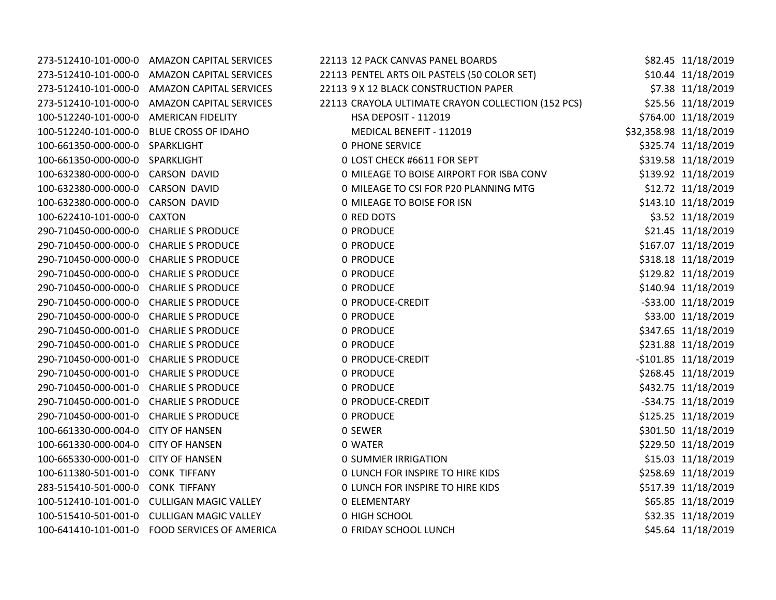|                                          | 273-512410-101-000-0 AMAZON CAPITAL SERVICES  | 22113 12 PACK CANVAS PANEL BOARDS                  | \$82.45 11/18/2019     |
|------------------------------------------|-----------------------------------------------|----------------------------------------------------|------------------------|
|                                          | 273-512410-101-000-0 AMAZON CAPITAL SERVICES  | 22113 PENTEL ARTS OIL PASTELS (50 COLOR SET)       | \$10.44 11/18/2019     |
|                                          | 273-512410-101-000-0 AMAZON CAPITAL SERVICES  | 22113 9 X 12 BLACK CONSTRUCTION PAPER              | \$7.38 11/18/2019      |
|                                          | 273-512410-101-000-0 AMAZON CAPITAL SERVICES  | 22113 CRAYOLA ULTIMATE CRAYON COLLECTION (152 PCS) | \$25.56 11/18/2019     |
| 100-512240-101-000-0 AMERICAN FIDELITY   |                                               | <b>HSA DEPOSIT - 112019</b>                        | \$764.00 11/18/2019    |
| 100-512240-101-000-0 BLUE CROSS OF IDAHO |                                               | MEDICAL BENEFIT - 112019                           | \$32,358.98 11/18/2019 |
| 100-661350-000-000-0 SPARKLIGHT          |                                               | <b>0 PHONE SERVICE</b>                             | \$325.74 11/18/2019    |
| 100-661350-000-000-0 SPARKLIGHT          |                                               | 0 LOST CHECK #6611 FOR SEPT                        | \$319.58 11/18/2019    |
| 100-632380-000-000-0 CARSON DAVID        |                                               | 0 MILEAGE TO BOISE AIRPORT FOR ISBA CONV           | \$139.92 11/18/2019    |
| 100-632380-000-000-0 CARSON DAVID        |                                               | 0 MILEAGE TO CSI FOR P20 PLANNING MTG              | \$12.72 11/18/2019     |
| 100-632380-000-000-0 CARSON DAVID        |                                               | 0 MILEAGE TO BOISE FOR ISN                         | \$143.10 11/18/2019    |
| 100-622410-101-000-0 CAXTON              |                                               | 0 RED DOTS                                         | \$3.52 11/18/2019      |
| 290-710450-000-000-0 CHARLIE S PRODUCE   |                                               | 0 PRODUCE                                          | \$21.45 11/18/2019     |
| 290-710450-000-000-0 CHARLIE S PRODUCE   |                                               | 0 PRODUCE                                          | \$167.07 11/18/2019    |
| 290-710450-000-000-0 CHARLIE S PRODUCE   |                                               | 0 PRODUCE                                          | \$318.18 11/18/2019    |
| 290-710450-000-000-0 CHARLIE S PRODUCE   |                                               | 0 PRODUCE                                          | \$129.82 11/18/2019    |
| 290-710450-000-000-0 CHARLIE S PRODUCE   |                                               | 0 PRODUCE                                          | \$140.94 11/18/2019    |
| 290-710450-000-000-0 CHARLIE S PRODUCE   |                                               | 0 PRODUCE-CREDIT                                   | -\$33.00 11/18/2019    |
| 290-710450-000-000-0 CHARLIE S PRODUCE   |                                               | 0 PRODUCE                                          | \$33.00 11/18/2019     |
| 290-710450-000-001-0 CHARLIE S PRODUCE   |                                               | 0 PRODUCE                                          | \$347.65 11/18/2019    |
| 290-710450-000-001-0 CHARLIE S PRODUCE   |                                               | 0 PRODUCE                                          | \$231.88 11/18/2019    |
| 290-710450-000-001-0 CHARLIE S PRODUCE   |                                               | 0 PRODUCE-CREDIT                                   | -\$101.85 11/18/2019   |
| 290-710450-000-001-0 CHARLIE S PRODUCE   |                                               | 0 PRODUCE                                          | \$268.45 11/18/2019    |
| 290-710450-000-001-0 CHARLIE S PRODUCE   |                                               | 0 PRODUCE                                          | \$432.75 11/18/2019    |
| 290-710450-000-001-0 CHARLIE S PRODUCE   |                                               | 0 PRODUCE-CREDIT                                   | -\$34.75 11/18/2019    |
| 290-710450-000-001-0 CHARLIE S PRODUCE   |                                               | 0 PRODUCE                                          | \$125.25 11/18/2019    |
| 100-661330-000-004-0 CITY OF HANSEN      |                                               | 0 SEWER                                            | \$301.50 11/18/2019    |
| 100-661330-000-004-0 CITY OF HANSEN      |                                               | 0 WATER                                            | \$229.50 11/18/2019    |
| 100-665330-000-001-0 CITY OF HANSEN      |                                               | <b>0 SUMMER IRRIGATION</b>                         | \$15.03 11/18/2019     |
| 100-611380-501-001-0 CONK TIFFANY        |                                               | <b>0 LUNCH FOR INSPIRE TO HIRE KIDS</b>            | \$258.69 11/18/2019    |
| 283-515410-501-000-0 CONK TIFFANY        |                                               | <b>0 LUNCH FOR INSPIRE TO HIRE KIDS</b>            | \$517.39 11/18/2019    |
|                                          | 100-512410-101-001-0 CULLIGAN MAGIC VALLEY    | <b>0 ELEMENTARY</b>                                | \$65.85 11/18/2019     |
|                                          | 100-515410-501-001-0 CULLIGAN MAGIC VALLEY    | 0 HIGH SCHOOL                                      | \$32.35 11/18/2019     |
|                                          | 100-641410-101-001-0 FOOD SERVICES OF AMERICA | 0 FRIDAY SCHOOL LUNCH                              | \$45.64 11/18/2019     |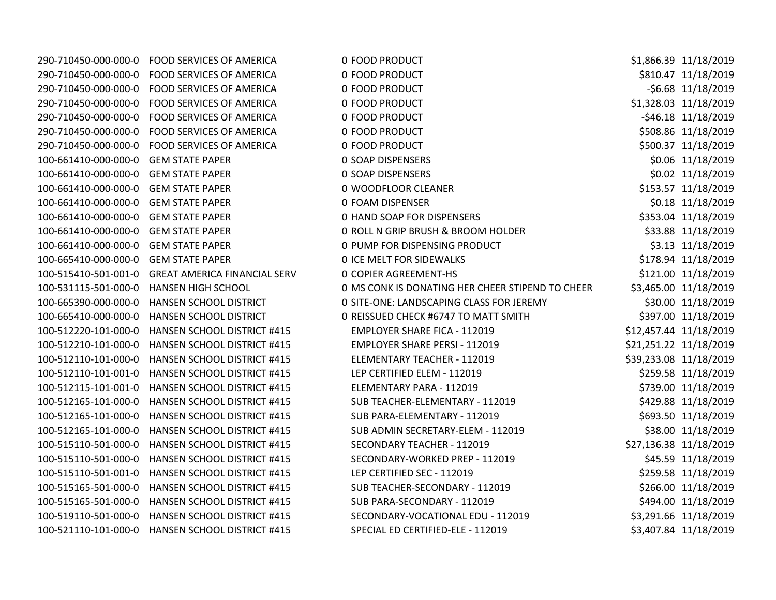|                                      | 290-710450-000-000-0 FOOD SERVICES OF AMERICA    | 0 FOOD PRODUCT                                   | \$1,866.39 11/18/2019  |
|--------------------------------------|--------------------------------------------------|--------------------------------------------------|------------------------|
|                                      | 290-710450-000-000-0 FOOD SERVICES OF AMERICA    | 0 FOOD PRODUCT                                   | \$810.47 11/18/2019    |
|                                      | 290-710450-000-000-0 FOOD SERVICES OF AMERICA    | 0 FOOD PRODUCT                                   | -\$6.68 11/18/2019     |
|                                      | 290-710450-000-000-0 FOOD SERVICES OF AMERICA    | 0 FOOD PRODUCT                                   | \$1,328.03 11/18/2019  |
|                                      | 290-710450-000-000-0 FOOD SERVICES OF AMERICA    | 0 FOOD PRODUCT                                   | $-546.18$ $11/18/2019$ |
| 290-710450-000-000-0                 | <b>FOOD SERVICES OF AMERICA</b>                  | 0 FOOD PRODUCT                                   | \$508.86 11/18/2019    |
| 290-710450-000-000-0                 | FOOD SERVICES OF AMERICA                         | 0 FOOD PRODUCT                                   | \$500.37 11/18/2019    |
| 100-661410-000-000-0                 | <b>GEM STATE PAPER</b>                           | 0 SOAP DISPENSERS                                | \$0.06 11/18/2019      |
| 100-661410-000-000-0                 | <b>GEM STATE PAPER</b>                           | 0 SOAP DISPENSERS                                | \$0.02 11/18/2019      |
| 100-661410-000-000-0                 | <b>GEM STATE PAPER</b>                           | 0 WOODFLOOR CLEANER                              | \$153.57 11/18/2019    |
| 100-661410-000-000-0                 | <b>GEM STATE PAPER</b>                           | 0 FOAM DISPENSER                                 | \$0.18 11/18/2019      |
| 100-661410-000-000-0                 | <b>GEM STATE PAPER</b>                           | 0 HAND SOAP FOR DISPENSERS                       | \$353.04 11/18/2019    |
| 100-661410-000-000-0                 | <b>GEM STATE PAPER</b>                           | 0 ROLL N GRIP BRUSH & BROOM HOLDER               | \$33.88 11/18/2019     |
| 100-661410-000-000-0 GEM STATE PAPER |                                                  | 0 PUMP FOR DISPENSING PRODUCT                    | \$3.13 11/18/2019      |
| 100-665410-000-000-0                 | <b>GEM STATE PAPER</b>                           | <b>0 ICE MELT FOR SIDEWALKS</b>                  | \$178.94 11/18/2019    |
| 100-515410-501-001-0                 | <b>GREAT AMERICA FINANCIAL SERV</b>              | <b>0 COPIER AGREEMENT-HS</b>                     | \$121.00 11/18/2019    |
| 100-531115-501-000-0                 | <b>HANSEN HIGH SCHOOL</b>                        | 0 MS CONK IS DONATING HER CHEER STIPEND TO CHEER | \$3,465.00 11/18/2019  |
| 100-665390-000-000-0                 | HANSEN SCHOOL DISTRICT                           | 0 SITE-ONE: LANDSCAPING CLASS FOR JEREMY         | \$30.00 11/18/2019     |
| 100-665410-000-000-0                 | HANSEN SCHOOL DISTRICT                           | 0 REISSUED CHECK #6747 TO MATT SMITH             | \$397.00 11/18/2019    |
| 100-512220-101-000-0                 | <b>HANSEN SCHOOL DISTRICT #415</b>               | <b>EMPLOYER SHARE FICA - 112019</b>              | \$12,457.44 11/18/2019 |
|                                      | 100-512210-101-000-0 HANSEN SCHOOL DISTRICT #415 | <b>EMPLOYER SHARE PERSI - 112019</b>             | \$21,251.22 11/18/2019 |
|                                      | 100-512110-101-000-0 HANSEN SCHOOL DISTRICT #415 | ELEMENTARY TEACHER - 112019                      | \$39,233.08 11/18/2019 |
|                                      | 100-512110-101-001-0 HANSEN SCHOOL DISTRICT #415 | LEP CERTIFIED ELEM - 112019                      | \$259.58 11/18/2019    |
|                                      | 100-512115-101-001-0 HANSEN SCHOOL DISTRICT #415 | ELEMENTARY PARA - 112019                         | \$739.00 11/18/2019    |
| 100-512165-101-000-0                 | <b>HANSEN SCHOOL DISTRICT #415</b>               | SUB TEACHER-ELEMENTARY - 112019                  | \$429.88 11/18/2019    |
| 100-512165-101-000-0                 | <b>HANSEN SCHOOL DISTRICT #415</b>               | SUB PARA-ELEMENTARY - 112019                     | \$693.50 11/18/2019    |
| 100-512165-101-000-0                 | <b>HANSEN SCHOOL DISTRICT #415</b>               | SUB ADMIN SECRETARY-ELEM - 112019                | \$38.00 11/18/2019     |
| 100-515110-501-000-0                 | <b>HANSEN SCHOOL DISTRICT #415</b>               | SECONDARY TEACHER - 112019                       | \$27,136.38 11/18/2019 |
| 100-515110-501-000-0                 | <b>HANSEN SCHOOL DISTRICT #415</b>               | SECONDARY-WORKED PREP - 112019                   | \$45.59 11/18/2019     |
| 100-515110-501-001-0                 | <b>HANSEN SCHOOL DISTRICT #415</b>               | LEP CERTIFIED SEC - 112019                       | \$259.58 11/18/2019    |
| 100-515165-501-000-0                 | <b>HANSEN SCHOOL DISTRICT #415</b>               | SUB TEACHER-SECONDARY - 112019                   | \$266.00 11/18/2019    |
| 100-515165-501-000-0                 | HANSEN SCHOOL DISTRICT #415                      | SUB PARA-SECONDARY - 112019                      | \$494.00 11/18/2019    |
|                                      | 100-519110-501-000-0 HANSEN SCHOOL DISTRICT #415 | SECONDARY-VOCATIONAL EDU - 112019                | \$3,291.66 11/18/2019  |
|                                      | 100-521110-101-000-0 HANSEN SCHOOL DISTRICT #415 | SPECIAL ED CERTIFIED-ELE - 112019                | \$3,407.84 11/18/2019  |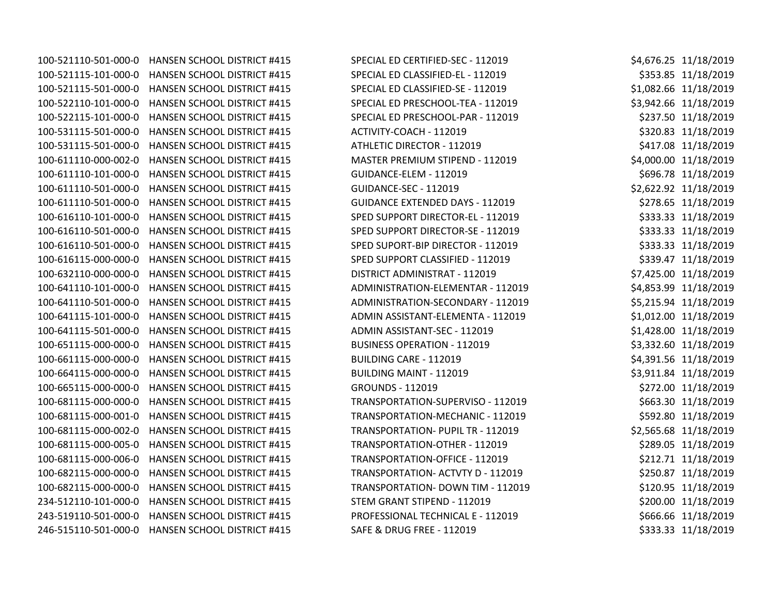100-521110-501-000-0 HANSEN SCHOOL DISTRICT #415 SPECIAL ED CERTIFIED-SEC - 112019 \$4,676.25 11/18/2019 100-521115-101-000-0 HANSEN SCHOOL DISTRICT #415 SPECIAL ED CLASSIFIED-EL - 112019 \$353.85 11/18/2019 100-521115-501-000-0 HANSEN SCHOOL DISTRICT #415 SPECIAL ED CLASSIFIED-SE - 112019 \$1,082.66 11/18/2019 100-522110-101-000-0 HANSEN SCHOOL DISTRICT #415 SPECIAL ED PRESCHOOL-TEA - 112019 \$3,942.66 11/18/2019 100-522115-101-000-0 HANSEN SCHOOL DISTRICT #415 SPECIAL ED PRESCHOOL-PAR - 112019 \$237.50 11/18/2019 100-531115-501-000-0 HANSEN SCHOOL DISTRICT #415 ACTIVITY-COACH - 112019 \$320.83 11/18/2019 100-531115-501-000-0 HANSEN SCHOOL DISTRICT #415 ATHLETIC DIRECTOR - 112019 \$417.08 11/18/2019 100-611110-000-002-0 HANSEN SCHOOL DISTRICT #415 MASTER PREMIUM STIPEND - 112019 \$4,000.00 11/18/2019 100-611110-101-000-0 HANSEN SCHOOL DISTRICT #415 GUIDANCE-ELEM - 112019 \$696.78 11/18/2019 100-611110-501-000-0 HANSEN SCHOOL DISTRICT #415 GUIDANCE-SEC - 112019 \$2,622.92 11/18/2019 100-611110-501-000-0 HANSEN SCHOOL DISTRICT #415 GUIDANCE EXTENDED DAYS - 112019 \$278.65 11/18/2019 100-616110-101-000-0 HANSEN SCHOOL DISTRICT #415 SPED SUPPORT DIRECTOR-EL - 112019 \$333.33 11/18/2019 100-616110-501-000-0 HANSEN SCHOOL DISTRICT #415 SPED SUPPORT DIRECTOR-SE - 112019 \$333.33 11/18/2019 100-616110-501-000-0 HANSEN SCHOOL DISTRICT #415 SPED SUPORT-BIP DIRECTOR - 112019 \$333.33 11/18/2019 100-616115-000-000-0 HANSEN SCHOOL DISTRICT #415 SPED SUPPORT CLASSIFIED - 112019 \$339.47 11/18/2019 100-632110-000-000-0 HANSEN SCHOOL DISTRICT #415 DISTRICT ADMINISTRAT - 112019 \$7,425.00 11/18/2019 100-641110-101-000-0 HANSEN SCHOOL DISTRICT #415 ADMINISTRATION-ELEMENTAR - 112019 \$4,853.99 11/18/2019 100-641110-501-000-0 HANSEN SCHOOL DISTRICT #415 ADMINISTRATION-SECONDARY - 112019 \$5,215.94 11/18/2019 100-641115-101-000-0 HANSEN SCHOOL DISTRICT #415 ADMIN ASSISTANT-ELEMENTA - 112019 \$1,012.00 11/18/2019 100-641115-501-000-0 HANSEN SCHOOL DISTRICT #415 ADMIN ASSISTANT-SEC - 112019 \$1,428.00 11/18/2019 100-651115-000-000-0 HANSEN SCHOOL DISTRICT #415 BUSINESS OPERATION - 112019 \$3,332.60 11/18/2019 100-661115-000-000-0 HANSEN SCHOOL DISTRICT #415 BUILDING CARE - 112019 \$4,391.56 11/18/2019 100-664115-000-000-0 HANSEN SCHOOL DISTRICT #415 BUILDING MAINT - 112019 \$3,911.84 11/18/2019 100-665115-000-000-0 HANSEN SCHOOL DISTRICT #415 GROUNDS - 112019 \$272.00 11/18/2019 100-681115-000-000-0 HANSEN SCHOOL DISTRICT #415 TRANSPORTATION-SUPERVISO - 112019 \$663.30 11/18/2019 100-681115-000-001-0 HANSEN SCHOOL DISTRICT #415 TRANSPORTATION-MECHANIC - 112019 \$592.80 11/18/2019 100-681115-000-002-0 HANSEN SCHOOL DISTRICT #415 TRANSPORTATION- PUPIL TR - 112019 \$2,565.68 11/18/2019 100-681115-000-005-0 HANSEN SCHOOL DISTRICT #415 TRANSPORTATION-OTHER - 112019 \$289.05 11/18/2019 100-681115-000-006-0 HANSEN SCHOOL DISTRICT #415 TRANSPORTATION-OFFICE - 112019 \$212.71 11/18/2019 100-682115-000-000-0 HANSEN SCHOOL DISTRICT #415 TRANSPORTATION- ACTVTY D - 112019 \$250.87 11/18/2019 100-682115-000-000-0 HANSEN SCHOOL DISTRICT #415 TRANSPORTATION- DOWN TIM - 112019 \$120.95 11/18/2019 234-512110-101-000-0 HANSEN SCHOOL DISTRICT #415 STEM GRANT STIPEND - 112019 \$200.00 11/18/2019 243-519110-501-000-0 HANSEN SCHOOL DISTRICT #415 PROFESSIONAL TECHNICAL E - 112019 \$666.66 11/18/2019 246-515110-501-000-0 HANSEN SCHOOL DISTRICT #415 SAFE & DRUG FREE - 112019 \$333.33 11/18/2019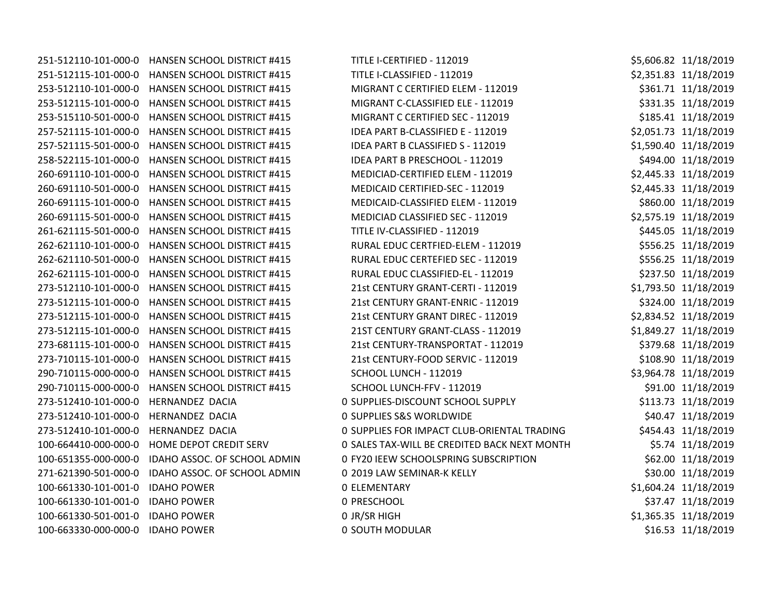251-512110-101-000-0 HANSEN SCHOOL DISTRICT #415 TIT 251-512115-101-000-0 HANSEN SCHOOL DISTRICT #415 111 253-512110-101-000-0 HANSEN SCHOOL DISTRICT #415 MI 253-512115-101-000-0 HANSEN SCHOOL DISTRICT #415 MI 253-515110-501-000-0 HANSEN SCHOOL DISTRICT #415 257-521115-101-000-0 HANSEN SCHOOL DISTRICT #415 ID 257-521115-501-000-0 HANSEN SCHOOL DISTRICT #415 ID 258-522115-101-000-0 HANSEN SCHOOL DISTRICT #415 ID 260-691110-101-000-0 HANSEN SCHOOL DISTRICT #415 260-691110-501-000-0 HANSEN SCHOOL DISTRICT #415 260-691115-101-000-0 HANSEN SCHOOL DISTRICT #415 MI 260-691115-501-000-0 HANSEN SCHOOL DISTRICT #415 261-621115-501-000-0 HANSEN SCHOOL DISTRICT #415 262-621110-101-000-0 HANSEN SCHOOL DISTRICT #415 RU 262-621110-501-000-0 HANSEN SCHOOL DISTRICT #415 RU 262-621115-101-000-0 HANSEN SCHOOL DISTRICT #415 RURAL 273-512110-101-000-0 HANSEN SCHOOL DISTRICT #415 21 273-512115-101-000-0 HANSEN SCHOOL DISTRICT #415 21 273-512115-101-000-0 HANSEN SCHOOL DISTRICT #415 21 273-512115-101-000-0 HANSEN SCHOOL DISTRICT #415 21 273-681115-101-000-0 HANSEN SCHOOL DISTRICT #415 21 273-710115-101-000-0 HANSEN SCHOOL DISTRICT #415 21 290-710115-000-000-0 HANSEN SCHOOL DISTRICT #415 SC 290-710115-000-000-0 HANSEN SCHOOL DISTRICT #415 SC 273-512410-101-000-0 HERNANDEZ DACIA 0 SUPPLIES-DISCOUNT SCHOOL SUPPLY \$113.73 11/18/2019 273-512410-101-000-0 HERNANDEZ DACIA 0 SU 273-512410-101-000-0 HERNANDEZ DACIA 0 SUPPLIES FOR IMPACT CLUB-ORIENTAL TRADING \$454.43 11/18/2019 100-664410-000-000-0 HOME DEPOT CREDIT SERV 0 SA 100-651355-000-000-0 IDAHO ASSOC. OF SCHOOL ADMIN 0 FY 271-621390-501-000-0 IDAHO ASSOC. OF SCHOOL ADMIN 0 20 100-661330-101-001-0 IDAHO POWER 0 EL 100-661330-101-001-0 IDAHO POWER 0 PR 100-661330-501-001-0 IDAHO POWER 0 JR/SR HIGH \$1,365.35 11/18/2019 100-663330-000-000-0 IDAHO POWER 0 SOUTH MODELAR \$16.50 1100-663330-000-0 IDAHO POWER

| TLE I-CERTIFIED - 112019                 | \$5,606.82 11/18/2019 |
|------------------------------------------|-----------------------|
| TLE I-CLASSIFIED - 112019                | \$2,351.83 11/18/2019 |
| IGRANT C CERTIFIED ELEM - 112019         | \$361.71 11/18/2019   |
| IGRANT C-CLASSIFIED ELE - 112019         | \$331.35 11/18/2019   |
| IGRANT C CERTIFIED SEC - 112019          | \$185.41 11/18/2019   |
| EA PART B-CLASSIFIED E - 112019          | \$2,051.73 11/18/2019 |
| EA PART B CLASSIFIED S - 112019          | \$1,590.40 11/18/2019 |
| EA PART B PRESCHOOL - 112019             | \$494.00 11/18/2019   |
| EDICIAD-CERTIFIED ELEM - 112019          | \$2,445.33 11/18/2019 |
| EDICAID CERTIFIED-SEC - 112019           | \$2,445.33 11/18/2019 |
| EDICAID-CLASSIFIED ELEM - 112019         | \$860.00 11/18/2019   |
| EDICIAD CLASSIFIED SEC - 112019          | \$2,575.19 11/18/2019 |
| TLE IV-CLASSIFIED - 112019               | \$445.05 11/18/2019   |
| JRAL EDUC CERTFIED-ELEM - 112019         | \$556.25 11/18/2019   |
| JRAL EDUC CERTEFIED SEC - 112019         | \$556.25 11/18/2019   |
| JRAL EDUC CLASSIFIED-EL - 112019         | \$237.50 11/18/2019   |
| Lst CENTURY GRANT-CERTI - 112019         | \$1,793.50 11/18/2019 |
| <b>Lst CENTURY GRANT-ENRIC - 112019</b>  | \$324.00 11/18/2019   |
| Ist CENTURY GRANT DIREC - 112019         | \$2,834.52 11/18/2019 |
| <b>IST CENTURY GRANT-CLASS - 112019</b>  | \$1,849.27 11/18/2019 |
| Lst CENTURY-TRANSPORTAT - 112019         | \$379.68 11/18/2019   |
| Lst CENTURY-FOOD SERVIC - 112019         | \$108.90 11/18/2019   |
| <b>HOOL LUNCH - 112019</b>               | \$3,964.78 11/18/2019 |
| HOOL LUNCH-FFV - 112019                  | \$91.00 11/18/2019    |
| JPPLIES-DISCOUNT SCHOOL SUPPLY           | \$113.73 11/18/2019   |
| JPPLIES S&S WORLDWIDE                    | \$40.47 11/18/2019    |
| JPPLIES FOR IMPACT CLUB-ORIENTAL TRADING | \$454.43 11/18/2019   |
| LES TAX-WILL BE CREDITED BACK NEXT MONTH | \$5.74 11/18/2019     |
| 20 IEEW SCHOOLSPRING SUBSCRIPTION        | \$62.00 11/18/2019    |
| 19 LAW SEMINAR-K KELLY                   | \$30.00 11/18/2019    |
| <b>EMENTARY</b>                          | \$1,604.24 11/18/2019 |
| <b>RESCHOOL</b>                          | \$37.47 11/18/2019    |
| /SR HIGH                                 | \$1,365.35 11/18/2019 |
| <b>DUTH MODULAR</b>                      | \$16.53 11/18/2019    |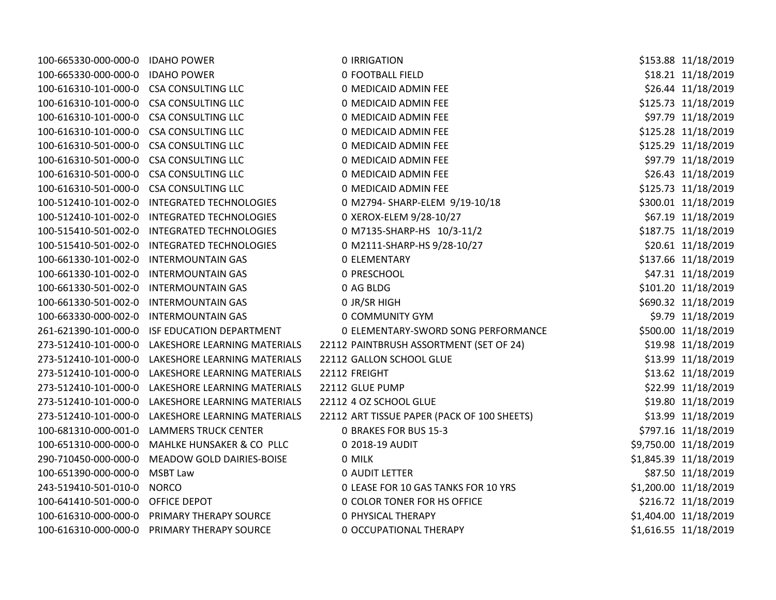| 100-665330-000-000-0                    | <b>IDAHO POWER</b>             | <b>0 IRRIGATION</b>                         | \$153.88 11/18/2019   |
|-----------------------------------------|--------------------------------|---------------------------------------------|-----------------------|
| 100-665330-000-000-0                    | <b>IDAHO POWER</b>             | <b>0 FOOTBALL FIELD</b>                     | \$18.21 11/18/2019    |
| 100-616310-101-000-0 CSA CONSULTING LLC |                                | 0 MEDICAID ADMIN FEE                        | \$26.44 11/18/2019    |
| 100-616310-101-000-0 CSA CONSULTING LLC |                                | 0 MEDICAID ADMIN FEE                        | \$125.73 11/18/2019   |
| 100-616310-101-000-0 CSA CONSULTING LLC |                                | 0 MEDICAID ADMIN FEE                        | \$97.79 11/18/2019    |
| 100-616310-101-000-0                    | <b>CSA CONSULTING LLC</b>      | 0 MEDICAID ADMIN FEE                        | \$125.28 11/18/2019   |
| 100-616310-501-000-0                    | <b>CSA CONSULTING LLC</b>      | 0 MEDICAID ADMIN FEE                        | \$125.29 11/18/2019   |
| 100-616310-501-000-0                    | <b>CSA CONSULTING LLC</b>      | 0 MEDICAID ADMIN FEE                        | \$97.79 11/18/2019    |
| 100-616310-501-000-0                    | <b>CSA CONSULTING LLC</b>      | 0 MEDICAID ADMIN FEE                        | \$26.43 11/18/2019    |
| 100-616310-501-000-0                    | <b>CSA CONSULTING LLC</b>      | 0 MEDICAID ADMIN FEE                        | \$125.73 11/18/2019   |
| 100-512410-101-002-0                    | <b>INTEGRATED TECHNOLOGIES</b> | 0 M2794- SHARP-ELEM 9/19-10/18              | \$300.01 11/18/2019   |
| 100-512410-101-002-0                    | <b>INTEGRATED TECHNOLOGIES</b> | 0 XEROX-ELEM 9/28-10/27                     | \$67.19 11/18/2019    |
| 100-515410-501-002-0                    | <b>INTEGRATED TECHNOLOGIES</b> | 0 M7135-SHARP-HS 10/3-11/2                  | \$187.75 11/18/2019   |
| 100-515410-501-002-0                    | <b>INTEGRATED TECHNOLOGIES</b> | 0 M2111-SHARP-HS 9/28-10/27                 | \$20.61 11/18/2019    |
| 100-661330-101-002-0                    | <b>INTERMOUNTAIN GAS</b>       | <b>0 ELEMENTARY</b>                         | \$137.66 11/18/2019   |
| 100-661330-101-002-0                    | <b>INTERMOUNTAIN GAS</b>       | 0 PRESCHOOL                                 | \$47.31 11/18/2019    |
| 100-661330-501-002-0                    | <b>INTERMOUNTAIN GAS</b>       | 0 AG BLDG                                   | \$101.20 11/18/2019   |
| 100-661330-501-002-0                    | <b>INTERMOUNTAIN GAS</b>       | 0 JR/SR HIGH                                | \$690.32 11/18/2019   |
| 100-663330-000-002-0                    | <b>INTERMOUNTAIN GAS</b>       | 0 COMMUNITY GYM                             | \$9.79 11/18/2019     |
| 261-621390-101-000-0                    | ISF EDUCATION DEPARTMENT       | 0 ELEMENTARY-SWORD SONG PERFORMANCE         | \$500.00 11/18/2019   |
| 273-512410-101-000-0                    | LAKESHORE LEARNING MATERIALS   | 22112 PAINTBRUSH ASSORTMENT (SET OF 24)     | \$19.98 11/18/2019    |
| 273-512410-101-000-0                    | LAKESHORE LEARNING MATERIALS   | 22112 GALLON SCHOOL GLUE                    | \$13.99 11/18/2019    |
| 273-512410-101-000-0                    | LAKESHORE LEARNING MATERIALS   | 22112 FREIGHT                               | \$13.62 11/18/2019    |
| 273-512410-101-000-0                    | LAKESHORE LEARNING MATERIALS   | 22112 GLUE PUMP                             | \$22.99 11/18/2019    |
| 273-512410-101-000-0                    | LAKESHORE LEARNING MATERIALS   | 22112 4 OZ SCHOOL GLUE                      | \$19.80 11/18/2019    |
| 273-512410-101-000-0                    | LAKESHORE LEARNING MATERIALS   | 22112 ART TISSUE PAPER (PACK OF 100 SHEETS) | \$13.99 11/18/2019    |
| 100-681310-000-001-0                    | <b>LAMMERS TRUCK CENTER</b>    | <b>0 BRAKES FOR BUS 15-3</b>                | \$797.16 11/18/2019   |
| 100-651310-000-000-0                    | MAHLKE HUNSAKER & CO PLLC      | 0 2018-19 AUDIT                             | \$9,750.00 11/18/2019 |
| 290-710450-000-000-0                    | MEADOW GOLD DAIRIES-BOISE      | 0 MILK                                      | \$1,845.39 11/18/2019 |
| 100-651390-000-000-0                    | <b>MSBT Law</b>                | <b>0 AUDIT LETTER</b>                       | \$87.50 11/18/2019    |
| 243-519410-501-010-0                    | <b>NORCO</b>                   | 0 LEASE FOR 10 GAS TANKS FOR 10 YRS         | \$1,200.00 11/18/2019 |
| 100-641410-501-000-0 OFFICE DEPOT       |                                | 0 COLOR TONER FOR HS OFFICE                 | \$216.72 11/18/2019   |
| 100-616310-000-000-0                    | PRIMARY THERAPY SOURCE         | <b>0 PHYSICAL THERAPY</b>                   | \$1,404.00 11/18/2019 |
| 100-616310-000-000-0                    | PRIMARY THERAPY SOURCE         | 0 OCCUPATIONAL THERAPY                      | \$1,616.55 11/18/2019 |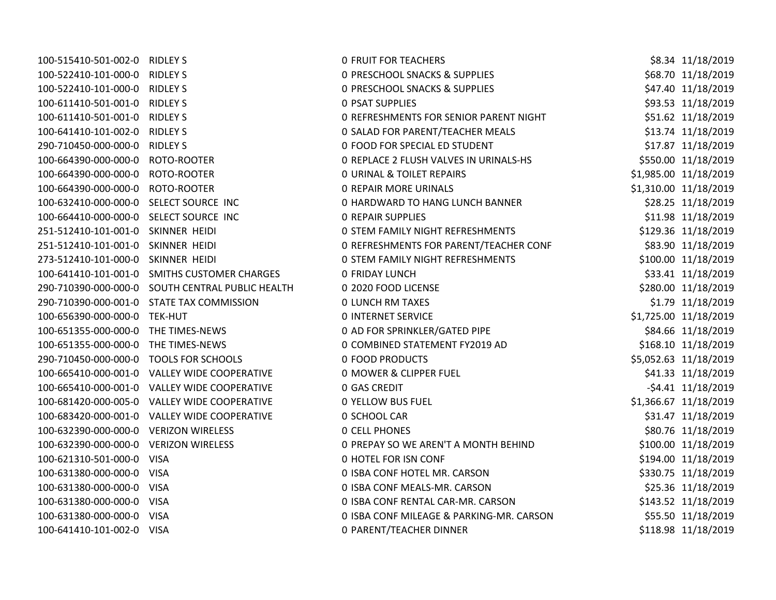| 100-515410-501-002-0 RIDLEY S          |                                                  | <b>0 FRUIT FOR TEACHERS</b>                   | \$8.34 11/18/2019     |
|----------------------------------------|--------------------------------------------------|-----------------------------------------------|-----------------------|
| 100-522410-101-000-0 RIDLEY S          |                                                  | <b>0 PRESCHOOL SNACKS &amp; SUPPLIES</b>      | \$68.70 11/18/2019    |
| 100-522410-101-000-0 RIDLEY S          |                                                  | <b>0 PRESCHOOL SNACKS &amp; SUPPLIES</b>      | \$47.40 11/18/2019    |
| 100-611410-501-001-0 RIDLEY S          |                                                  | <b>0 PSAT SUPPLIES</b>                        | \$93.53 11/18/2019    |
| 100-611410-501-001-0 RIDLEY S          |                                                  | <b>0 REFRESHMENTS FOR SENIOR PARENT NIGHT</b> | \$51.62 11/18/2019    |
| 100-641410-101-002-0 RIDLEY S          |                                                  | 0 SALAD FOR PARENT/TEACHER MEALS              | \$13.74 11/18/2019    |
| 290-710450-000-000-0 RIDLEY S          |                                                  | 0 FOOD FOR SPECIAL ED STUDENT                 | \$17.87 11/18/2019    |
| 100-664390-000-000-0 ROTO-ROOTER       |                                                  | 0 REPLACE 2 FLUSH VALVES IN URINALS-HS        | \$550.00 11/18/2019   |
| 100-664390-000-000-0 ROTO-ROOTER       |                                                  | <b>0 URINAL &amp; TOILET REPAIRS</b>          | \$1,985.00 11/18/2019 |
| 100-664390-000-000-0 ROTO-ROOTER       |                                                  | <b>0 REPAIR MORE URINALS</b>                  | \$1,310.00 11/18/2019 |
| 100-632410-000-000-0 SELECT SOURCE INC |                                                  | 0 HARDWARD TO HANG LUNCH BANNER               | \$28.25 11/18/2019    |
| 100-664410-000-000-0 SELECT SOURCE INC |                                                  | <b>0 REPAIR SUPPLIES</b>                      | \$11.98 11/18/2019    |
| 251-512410-101-001-0 SKINNER HEIDI     |                                                  | <b>0 STEM FAMILY NIGHT REFRESHMENTS</b>       | \$129.36 11/18/2019   |
| 251-512410-101-001-0 SKINNER HEIDI     |                                                  | 0 REFRESHMENTS FOR PARENT/TEACHER CONF        | \$83.90 11/18/2019    |
| 273-512410-101-000-0 SKINNER HEIDI     |                                                  | <b>0 STEM FAMILY NIGHT REFRESHMENTS</b>       | \$100.00 11/18/2019   |
|                                        | 100-641410-101-001-0 SMITHS CUSTOMER CHARGES     | <b>0 FRIDAY LUNCH</b>                         | \$33.41 11/18/2019    |
|                                        | 290-710390-000-000-0 SOUTH CENTRAL PUBLIC HEALTH | 0 2020 FOOD LICENSE                           | \$280.00 11/18/2019   |
|                                        | 290-710390-000-001-0 STATE TAX COMMISSION        | <b>0 LUNCH RM TAXES</b>                       | \$1.79 11/18/2019     |
| 100-656390-000-000-0 TEK-HUT           |                                                  | <b>0 INTERNET SERVICE</b>                     | \$1,725.00 11/18/2019 |
| 100-651355-000-000-0 THE TIMES-NEWS    |                                                  | 0 AD FOR SPRINKLER/GATED PIPE                 | \$84.66 11/18/2019    |
| 100-651355-000-000-0 THE TIMES-NEWS    |                                                  | 0 COMBINED STATEMENT FY2019 AD                | \$168.10 11/18/2019   |
| 290-710450-000-000-0 TOOLS FOR SCHOOLS |                                                  | 0 FOOD PRODUCTS                               | \$5,052.63 11/18/2019 |
|                                        | 100-665410-000-001-0 VALLEY WIDE COOPERATIVE     | <b>0 MOWER &amp; CLIPPER FUEL</b>             | \$41.33 11/18/2019    |
|                                        | 100-665410-000-001-0 VALLEY WIDE COOPERATIVE     | <b>0 GAS CREDIT</b>                           | $-54.41$ $11/18/2019$ |
|                                        | 100-681420-000-005-0 VALLEY WIDE COOPERATIVE     | <b>0 YELLOW BUS FUEL</b>                      | \$1,366.67 11/18/2019 |
|                                        | 100-683420-000-001-0 VALLEY WIDE COOPERATIVE     | 0 SCHOOL CAR                                  | \$31.47 11/18/2019    |
| 100-632390-000-000-0 VERIZON WIRELESS  |                                                  | <b>0 CELL PHONES</b>                          | \$80.76 11/18/2019    |
| 100-632390-000-000-0 VERIZON WIRELESS  |                                                  | 0 PREPAY SO WE AREN'T A MONTH BEHIND          | \$100.00 11/18/2019   |
| 100-621310-501-000-0 VISA              |                                                  | 0 HOTEL FOR ISN CONF                          | \$194.00 11/18/2019   |
| 100-631380-000-000-0 VISA              |                                                  | 0 ISBA CONF HOTEL MR. CARSON                  | \$330.75 11/18/2019   |
| 100-631380-000-000-0 VISA              |                                                  | 0 ISBA CONF MEALS-MR. CARSON                  | \$25.36 11/18/2019    |
| 100-631380-000-000-0 VISA              |                                                  | 0 ISBA CONF RENTAL CAR-MR. CARSON             | \$143.52 11/18/2019   |
| 100-631380-000-000-0 VISA              |                                                  | 0 ISBA CONF MILEAGE & PARKING-MR. CARSON      | \$55.50 11/18/2019    |
| 100-641410-101-002-0 VISA              |                                                  | 0 PARENT/TEACHER DINNER                       | \$118.98 11/18/2019   |